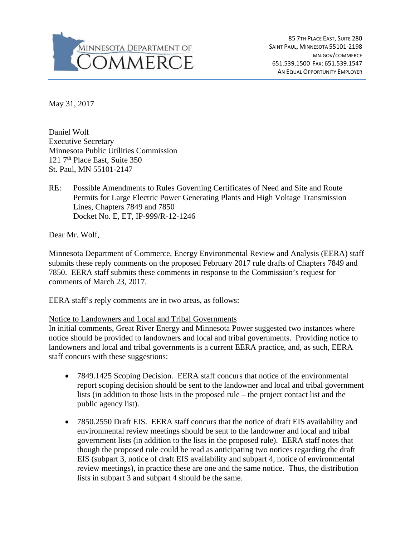

85 7TH PLACE EAST, SUITE 280 SAINT PAUL, MINNESOTA 55101-2198 MN.GOV/COMMERCE 651.539.1500 FAX: 651.539.1547 AN EQUAL OPPORTUNITY EMPLOYER

May 31, 2017

Daniel Wolf Executive Secretary Minnesota Public Utilities Commission 121  $7<sup>th</sup>$  Place East, Suite 350 St. Paul, MN 55101-2147

RE: Possible Amendments to Rules Governing Certificates of Need and Site and Route Permits for Large Electric Power Generating Plants and High Voltage Transmission Lines, Chapters 7849 and 7850 Docket No. E, ET, IP-999/R-12-1246

Dear Mr. Wolf,

Minnesota Department of Commerce, Energy Environmental Review and Analysis (EERA) staff submits these reply comments on the proposed February 2017 rule drafts of Chapters 7849 and 7850. EERA staff submits these comments in response to the Commission's request for comments of March 23, 2017.

EERA staff's reply comments are in two areas, as follows:

## Notice to Landowners and Local and Tribal Governments

In initial comments, Great River Energy and Minnesota Power suggested two instances where notice should be provided to landowners and local and tribal governments. Providing notice to landowners and local and tribal governments is a current EERA practice, and, as such, EERA staff concurs with these suggestions:

- 7849.1425 Scoping Decision. EERA staff concurs that notice of the environmental report scoping decision should be sent to the landowner and local and tribal government lists (in addition to those lists in the proposed rule – the project contact list and the public agency list).
- 7850.2550 Draft EIS. EERA staff concurs that the notice of draft EIS availability and environmental review meetings should be sent to the landowner and local and tribal government lists (in addition to the lists in the proposed rule). EERA staff notes that though the proposed rule could be read as anticipating two notices regarding the draft EIS (subpart 3, notice of draft EIS availability and subpart 4, notice of environmental review meetings), in practice these are one and the same notice. Thus, the distribution lists in subpart 3 and subpart 4 should be the same.